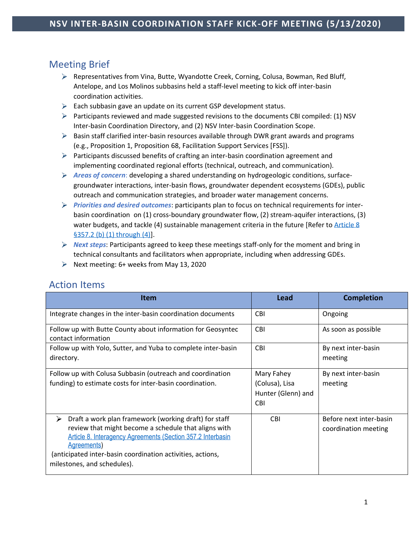# Meeting Brief

- $\triangleright$  Representatives from Vina, Butte, Wyandotte Creek, Corning, Colusa, Bowman, Red Bluff, Antelope, and Los Molinos subbasins held a staff-level meeting to kick off inter-basin coordination activities.
- $\triangleright$  Each subbasin gave an update on its current GSP development status.
- Participants reviewed and made suggested revisions to the documents CBI compiled: (1) NSV Inter-basin Coordination Directory, and (2) NSV Inter-basin Coordination Scope.
- $\triangleright$  Basin staff clarified inter-basin resources available through DWR grant awards and programs (e.g., Proposition 1, Proposition 68, Facilitation Support Services [FSS]).
- $\triangleright$  Participants discussed benefits of crafting an inter-basin coordination agreement and implementing coordinated regional efforts (technical, outreach, and communication).
- *Areas of concern*: developing a shared understanding on hydrogeologic conditions, surfacegroundwater interactions, inter-basin flows, groundwater dependent ecosystems (GDEs), public outreach and communication strategies, and broader water management concerns.
- *Priorities and desired outcomes*: participants plan to focus on technical requirements for interbasin coordination on (1) cross-boundary groundwater flow, (2) stream-aquifer interactions, (3) water budgets, and tackle (4) sustainable management criteria in the future [Refer to Article 8 §357.2 [\(b\) \(1\) through \(4\)\]](https://groundwaterexchange.org/wp-content/uploads/2018/07/GSP-Regs-Art-8-Interagency-Agreements.pdf).
- *Next steps*: Participants agreed to keep these meetings staff-only for the moment and bring in technical consultants and facilitators when appropriate, including when addressing GDEs.
- Next meeting:  $6+$  weeks from May 13, 2020

| Item                                                                                                                                                                                                                                                                                          | Lead                                                             | <b>Completion</b>                               |
|-----------------------------------------------------------------------------------------------------------------------------------------------------------------------------------------------------------------------------------------------------------------------------------------------|------------------------------------------------------------------|-------------------------------------------------|
| Integrate changes in the inter-basin coordination documents                                                                                                                                                                                                                                   | <b>CBI</b>                                                       | Ongoing                                         |
| Follow up with Butte County about information for Geosyntec<br>contact information                                                                                                                                                                                                            | <b>CBI</b>                                                       | As soon as possible                             |
| Follow up with Yolo, Sutter, and Yuba to complete inter-basin<br>directory.                                                                                                                                                                                                                   | <b>CBI</b>                                                       | By next inter-basin<br>meeting                  |
| Follow up with Colusa Subbasin (outreach and coordination<br>funding) to estimate costs for inter-basin coordination.                                                                                                                                                                         | Mary Fahey<br>(Colusa), Lisa<br>Hunter (Glenn) and<br><b>CBI</b> | By next inter-basin<br>meeting                  |
| Draft a work plan framework (working draft) for staff<br>⋗<br>review that might become a schedule that aligns with<br>Article 8. Interagency Agreements (Section 357.2 Interbasin<br>Agreements)<br>(anticipated inter-basin coordination activities, actions,<br>milestones, and schedules). | <b>CBI</b>                                                       | Before next inter-basin<br>coordination meeting |

## Action Items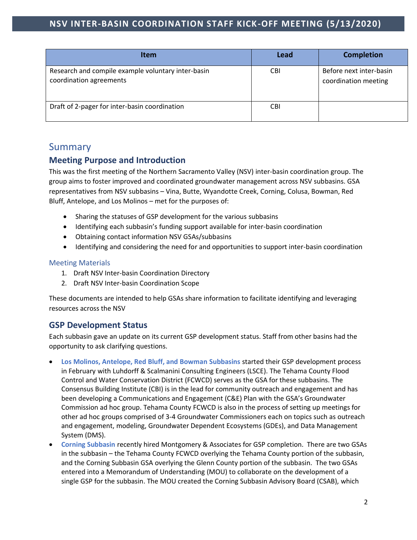| <b>Item</b>                                                                   | Lead       | <b>Completion</b>                               |
|-------------------------------------------------------------------------------|------------|-------------------------------------------------|
| Research and compile example voluntary inter-basin<br>coordination agreements | <b>CBI</b> | Before next inter-basin<br>coordination meeting |
| Draft of 2-pager for inter-basin coordination                                 | CBI        |                                                 |

# Summary

### **Meeting Purpose and Introduction**

This was the first meeting of the Northern Sacramento Valley (NSV) inter-basin coordination group. The group aims to foster improved and coordinated groundwater management across NSV subbasins. GSA representatives from NSV subbasins – Vina, Butte, Wyandotte Creek, Corning, Colusa, Bowman, Red Bluff, Antelope, and Los Molinos – met for the purposes of:

- Sharing the statuses of GSP development for the various subbasins
- Identifying each subbasin's funding support available for inter-basin coordination
- Obtaining contact information NSV GSAs/subbasins
- Identifying and considering the need for and opportunities to support inter-basin coordination

#### Meeting Materials

- 1. Draft NSV Inter-basin Coordination Directory
- 2. Draft NSV Inter-basin Coordination Scope

These documents are intended to help GSAs share information to facilitate identifying and leveraging resources across the NSV

#### **GSP Development Status**

Each subbasin gave an update on its current GSP development status. Staff from other basins had the opportunity to ask clarifying questions.

- **Los Molinos, Antelope, Red Bluff, and Bowman Subbasins** started their GSP development process in February with Luhdorff & Scalmanini Consulting Engineers (LSCE). The Tehama County Flood Control and Water Conservation District (FCWCD) serves as the GSA for these subbasins. The Consensus Building Institute (CBI) is in the lead for community outreach and engagement and has been developing a Communications and Engagement (C&E) Plan with the GSA's Groundwater Commission ad hoc group. Tehama County FCWCD is also in the process of setting up meetings for other ad hoc groups comprised of 3-4 Groundwater Commissioners each on topics such as outreach and engagement, modeling, Groundwater Dependent Ecosystems (GDEs), and Data Management System (DMS).
- **Corning Subbasin** recently hired Montgomery & Associates for GSP completion. There are two GSAs in the subbasin – the Tehama County FCWCD overlying the Tehama County portion of the subbasin, and the Corning Subbasin GSA overlying the Glenn County portion of the subbasin. The two GSAs entered into a Memorandum of Understanding (MOU) to collaborate on the development of a single GSP for the subbasin. The MOU created the Corning Subbasin Advisory Board (CSAB), which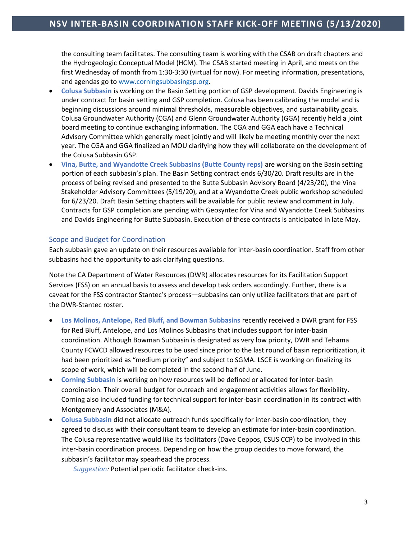the consulting team facilitates. The consulting team is working with the CSAB on draft chapters and the Hydrogeologic Conceptual Model (HCM). The CSAB started meeting in April, and meets on the first Wednesday of month from 1:30-3:30 (virtual for now). For meeting information, presentations, and agendas go to [www.corningsubbasingsp.org.](http://www.corningsubbasingsp.org/)

- **Colusa Subbasin** is working on the Basin Setting portion of GSP development. Davids Engineering is under contract for basin setting and GSP completion. Colusa has been calibrating the model and is beginning discussions around minimal thresholds, measurable objectives, and sustainability goals. Colusa Groundwater Authority (CGA) and Glenn Groundwater Authority (GGA) recently held a joint board meeting to continue exchanging information. The CGA and GGA each have a Technical Advisory Committee which generally meet jointly and will likely be meeting monthly over the next year. The CGA and GGA finalized an MOU clarifying how they will collaborate on the development of the Colusa Subbasin GSP.
- **Vina, Butte, and Wyandotte Creek Subbasins (Butte County reps)** are working on the Basin setting portion of each subbasin's plan. The Basin Setting contract ends 6/30/20. Draft results are in the process of being revised and presented to the Butte Subbasin Advisory Board (4/23/20), the Vina Stakeholder Advisory Committees (5/19/20), and at a Wyandotte Creek public workshop scheduled for 6/23/20. Draft Basin Setting chapters will be available for public review and comment in July. Contracts for GSP completion are pending with Geosyntec for Vina and Wyandotte Creek Subbasins and Davids Engineering for Butte Subbasin. Execution of these contracts is anticipated in late May.

#### Scope and Budget for Coordination

Each subbasin gave an update on their resources available for inter-basin coordination. Staff from other subbasins had the opportunity to ask clarifying questions.

Note the CA Department of Water Resources (DWR) allocates resources for its Facilitation Support Services (FSS) on an annual basis to assess and develop task orders accordingly. Further, there is a caveat for the FSS contractor Stantec's process—subbasins can only utilize facilitators that are part of the DWR-Stantec roster.

- **Los Molinos, Antelope, Red Bluff, and Bowman Subbasins** recently received a DWR grant for FSS for Red Bluff, Antelope, and Los Molinos Subbasins that includes support for inter-basin coordination. Although Bowman Subbasin is designated as very low priority, DWR and Tehama County FCWCD allowed resources to be used since prior to the last round of basin reprioritization, it had been prioritized as "medium priority" and subject to SGMA. LSCE is working on finalizing its scope of work, which will be completed in the second half of June.
- **Corning Subbasin** is working on how resources will be defined or allocated for inter-basin coordination. Their overall budget for outreach and engagement activities allows for flexibility. Corning also included funding for technical support for inter-basin coordination in its contract with Montgomery and Associates (M&A).
- **Colusa Subbasin** did not allocate outreach funds specifically for inter-basin coordination; they agreed to discuss with their consultant team to develop an estimate for inter-basin coordination. The Colusa representative would like its facilitators (Dave Ceppos, CSUS CCP) to be involved in this inter-basin coordination process. Depending on how the group decides to move forward, the subbasin's facilitator may spearhead the process.

*Suggestion:* Potential periodic facilitator check-ins.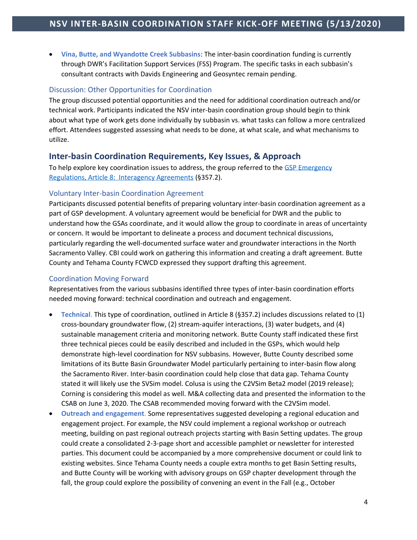• **Vina, Butte, and Wyandotte Creek Subbasins**: The inter-basin coordination funding is currently through DWR's Facilitation Support Services (FSS) Program. The specific tasks in each subbasin's consultant contracts with Davids Engineering and Geosyntec remain pending.

#### Discussion: Other Opportunities for Coordination

The group discussed potential opportunities and the need for additional coordination outreach and/or technical work. Participants indicated the NSV inter-basin coordination group should begin to think about what type of work gets done individually by subbasin vs. what tasks can follow a more centralized effort. Attendees suggested assessing what needs to be done, at what scale, and what mechanisms to utilize.

#### **Inter-basin Coordination Requirements, Key Issues, & Approach**

To help explore key coordination issues to address, the group referred to the GSP Emergency [Regulations, Article 8: Interagency Agreements](https://groundwaterexchange.org/wp-content/uploads/2018/07/GSP-Regs-Art-8-Interagency-Agreements.pdf) (§357.2).

#### Voluntary Inter-basin Coordination Agreement

Participants discussed potential benefits of preparing voluntary inter-basin coordination agreement as a part of GSP development. A voluntary agreement would be beneficial for DWR and the public to understand how the GSAs coordinate, and it would allow the group to coordinate in areas of uncertainty or concern. It would be important to delineate a process and document technical discussions, particularly regarding the well-documented surface water and groundwater interactions in the North Sacramento Valley. CBI could work on gathering this information and creating a draft agreement. Butte County and Tehama County FCWCD expressed they support drafting this agreement.

#### Coordination Moving Forward

Representatives from the various subbasins identified three types of inter-basin coordination efforts needed moving forward: technical coordination and outreach and engagement.

- **Technical**. This type of coordination, outlined in Article 8 (§357.2) includes discussions related to (1) cross-boundary groundwater flow, (2) stream-aquifer interactions, (3) water budgets, and (4) sustainable management criteria and monitoring network. Butte County staff indicated these first three technical pieces could be easily described and included in the GSPs, which would help demonstrate high-level coordination for NSV subbasins. However, Butte County described some limitations of its Butte Basin Groundwater Model particularly pertaining to inter-basin flow along the Sacramento River. Inter-basin coordination could help close that data gap. Tehama County stated it will likely use the SVSim model. Colusa is using the C2VSim Beta2 model (2019 release); Corning is considering this model as well. M&A collecting data and presented the information to the CSAB on June 3, 2020. The CSAB recommended moving forward with the C2VSim model.
- **Outreach and engagement**. Some representatives suggested developing a regional education and engagement project. For example, the NSV could implement a regional workshop or outreach meeting, building on past regional outreach projects starting with Basin Setting updates. The group could create a consolidated 2-3-page short and accessible pamphlet or newsletter for interested parties. This document could be accompanied by a more comprehensive document or could link to existing websites. Since Tehama County needs a couple extra months to get Basin Setting results, and Butte County will be working with advisory groups on GSP chapter development through the fall, the group could explore the possibility of convening an event in the Fall (e.g., October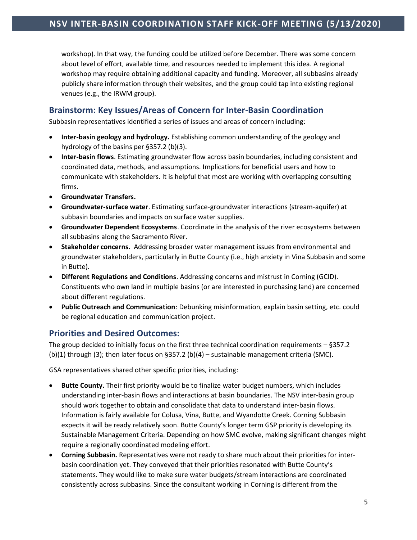workshop). In that way, the funding could be utilized before December. There was some concern about level of effort, available time, and resources needed to implement this idea. A regional workshop may require obtaining additional capacity and funding. Moreover, all subbasins already publicly share information through their websites, and the group could tap into existing regional venues (e.g., the IRWM group).

### **Brainstorm: Key Issues/Areas of Concern for Inter-Basin Coordination**

Subbasin representatives identified a series of issues and areas of concern including:

- **Inter-basin geology and hydrology.** Establishing common understanding of the geology and hydrology of the basins per §357.2 (b)(3).
- **Inter-basin flows**. Estimating groundwater flow across basin boundaries, including consistent and coordinated data, methods, and assumptions. Implications for beneficial users and how to communicate with stakeholders. It is helpful that most are working with overlapping consulting firms.
- **Groundwater Transfers.**
- **Groundwater-surface water**. Estimating surface-groundwater interactions (stream-aquifer) at subbasin boundaries and impacts on surface water supplies.
- **Groundwater Dependent Ecosystems**. Coordinate in the analysis of the river ecosystems between all subbasins along the Sacramento River.
- **Stakeholder concerns.** Addressing broader water management issues from environmental and groundwater stakeholders, particularly in Butte County (i.e., high anxiety in Vina Subbasin and some in Butte).
- **Different Regulations and Conditions**. Addressing concerns and mistrust in Corning (GCID). Constituents who own land in multiple basins (or are interested in purchasing land) are concerned about different regulations.
- **Public Outreach and Communication**: Debunking misinformation, explain basin setting, etc. could be regional education and communication project.

### **Priorities and Desired Outcomes:**

The group decided to initially focus on the first three technical coordination requirements – §357.2 (b)(1) through (3); then later focus on §357.2 (b)(4) – sustainable management criteria (SMC).

GSA representatives shared other specific priorities, including:

- **Butte County.** Their first priority would be to finalize water budget numbers, which includes understanding inter-basin flows and interactions at basin boundaries. The NSV inter-basin group should work together to obtain and consolidate that data to understand inter-basin flows. Information is fairly available for Colusa, Vina, Butte, and Wyandotte Creek. Corning Subbasin expects it will be ready relatively soon. Butte County's longer term GSP priority is developing its Sustainable Management Criteria. Depending on how SMC evolve, making significant changes might require a regionally coordinated modeling effort.
- **Corning Subbasin.** Representatives were not ready to share much about their priorities for interbasin coordination yet. They conveyed that their priorities resonated with Butte County's statements. They would like to make sure water budgets/stream interactions are coordinated consistently across subbasins. Since the consultant working in Corning is different from the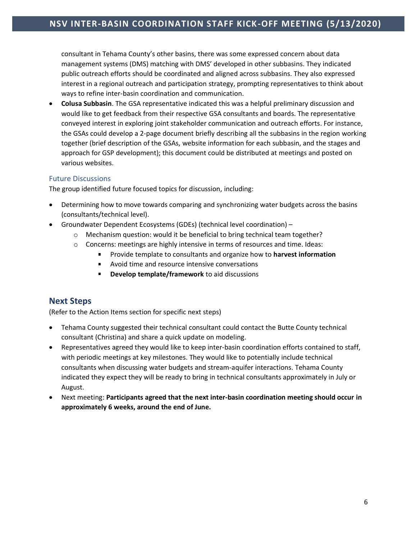consultant in Tehama County's other basins, there was some expressed concern about data management systems (DMS) matching with DMS' developed in other subbasins. They indicated public outreach efforts should be coordinated and aligned across subbasins. They also expressed interest in a regional outreach and participation strategy, prompting representatives to think about ways to refine inter-basin coordination and communication.

• **Colusa Subbasin**. The GSA representative indicated this was a helpful preliminary discussion and would like to get feedback from their respective GSA consultants and boards. The representative conveyed interest in exploring joint stakeholder communication and outreach efforts. For instance, the GSAs could develop a 2-page document briefly describing all the subbasins in the region working together (brief description of the GSAs, website information for each subbasin, and the stages and approach for GSP development); this document could be distributed at meetings and posted on various websites.

#### Future Discussions

The group identified future focused topics for discussion, including:

- Determining how to move towards comparing and synchronizing water budgets across the basins (consultants/technical level).
- Groundwater Dependent Ecosystems (GDEs) (technical level coordination)
	- $\circ$  Mechanism question: would it be beneficial to bring technical team together?
	- $\circ$  Concerns: meetings are highly intensive in terms of resources and time. Ideas:
		- Provide template to consultants and organize how to **harvest information**  a.
		- Avoid time and resource intensive conversations
		- **Develop template/framework** to aid discussions

### **Next Steps**

(Refer to the Action Items section for specific next steps)

- Tehama County suggested their technical consultant could contact the Butte County technical consultant (Christina) and share a quick update on modeling.
- Representatives agreed they would like to keep inter-basin coordination efforts contained to staff, with periodic meetings at key milestones. They would like to potentially include technical consultants when discussing water budgets and stream-aquifer interactions. Tehama County indicated they expect they will be ready to bring in technical consultants approximately in July or August.
- Next meeting: **Participants agreed that the next inter-basin coordination meeting should occur in approximately 6 weeks, around the end of June.**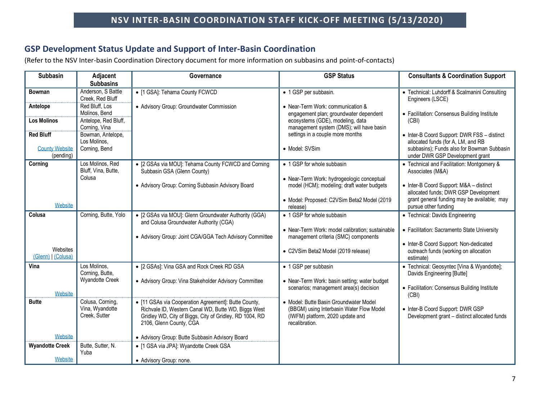### **GSP Development Status Update and Support of Inter-Basin Coordination**

(Refer to the NSV Inter-basin Coordination Directory document for more information on subbasins and point-of-contacts)

| <b>Subbasin</b>        | Adjacent                               | Governance                                                                                      | <b>GSP Status</b>                                                                        | <b>Consultants &amp; Coordination Support</b>                     |
|------------------------|----------------------------------------|-------------------------------------------------------------------------------------------------|------------------------------------------------------------------------------------------|-------------------------------------------------------------------|
|                        | <b>Subbasins</b>                       |                                                                                                 |                                                                                          |                                                                   |
| Bowman                 | Anderson, S Battle<br>Creek, Red Bluff | • [1 GSA]: Tehama County FCWCD                                                                  | • 1 GSP per subbasin.                                                                    | • Technical: Luhdorff & Scalmanini Consulting<br>Engineers (LSCE) |
| Antelope               | Red Bluff, Los                         | • Advisory Group: Groundwater Commission                                                        | • Near-Term Work: communication &                                                        |                                                                   |
|                        | Molinos, Bend                          |                                                                                                 | engagement plan; groundwater dependent                                                   | • Facilitation: Consensus Building Institute                      |
| <b>Los Molinos</b>     | Antelope, Red Bluff,<br>Corning, Vina  |                                                                                                 | ecosystems (GDE), modeling, data<br>management system (DMS); will have basin             | (CBI)                                                             |
| <b>Red Bluff</b>       | Bowman, Antelope,                      |                                                                                                 | settings in a couple more months                                                         | • Inter-B Coord Support: DWR FSS - distinct                       |
|                        | Los Molinos,                           |                                                                                                 |                                                                                          | allocated funds (for A, LM, and RB                                |
| <b>County Website</b>  | Corning, Bend                          |                                                                                                 | • Model: SVSim                                                                           | subbasins); Funds also for Bowman Subbasin                        |
| (pending)              |                                        |                                                                                                 |                                                                                          | under DWR GSP Development grant                                   |
| Corning                | Los Molinos, Red                       | • [2 GSAs via MOU]: Tehama County FCWCD and Corning                                             | • 1 GSP for whole subbasin                                                               | • Technical and Facilitation: Montgomery &                        |
|                        | Bluff, Vina, Butte,<br>Colusa          | Subbasin GSA (Glenn County)                                                                     |                                                                                          | Associates (M&A)                                                  |
|                        |                                        | • Advisory Group: Corning Subbasin Advisory Board                                               | • Near-Term Work: hydrogeologic conceptual<br>model (HCM); modeling; draft water budgets | • Inter-B Coord Support: M&A - distinct                           |
|                        |                                        |                                                                                                 |                                                                                          | allocated funds; DWR GSP Development                              |
|                        |                                        |                                                                                                 | · Model: Proposed: C2VSim Beta2 Model (2019                                              | grant general funding may be available; may                       |
| Website                |                                        |                                                                                                 | release)                                                                                 | pursue other funding                                              |
| Colusa                 | Corning, Butte, Yolo                   | • [2 GSAs via MOU]: Glenn Groundwater Authority (GGA)<br>and Colusa Groundwater Authority (CGA) | • 1 GSP for whole subbasin                                                               | • Technical: Davids Engineering                                   |
|                        |                                        |                                                                                                 | • Near-Term Work: model calibration; sustainable                                         | • Facilitation: Sacramento State University                       |
|                        |                                        | • Advisory Group: Joint CGA/GGA Tech Advisory Committee                                         | management criteria (SMC) components                                                     |                                                                   |
| Websites               |                                        |                                                                                                 |                                                                                          | • Inter-B Coord Support: Non-dedicated                            |
| (Glenn)   (Colusa)     |                                        |                                                                                                 | • C2VSim Beta2 Model (2019 release)                                                      | outreach funds (working on allocation<br>estimate)                |
| Vina                   | Los Molinos,                           | • [2 GSAs]: Vina GSA and Rock Creek RD GSA                                                      | • 1 GSP per subbasin                                                                     | • Technical: Geosyntec [Vina & Wyandotte];                        |
|                        | Corning, Butte,                        |                                                                                                 |                                                                                          | Davids Engineering [Butte]                                        |
|                        | <b>Wyandotte Creek</b>                 | • Advisory Group: Vina Stakeholder Advisory Committee                                           | • Near-Term Work: basin setting; water budget                                            |                                                                   |
| Website                |                                        |                                                                                                 | scenarios; management area(s) decision                                                   | • Facilitation: Consensus Building Institute<br>(CBI)             |
| <b>Butte</b>           | Colusa, Corning,                       | • [11 GSAs via Cooperation Agreement]: Butte County,                                            | • Model: Butte Basin Groundwater Model                                                   |                                                                   |
|                        | Vina, Wyandotte                        | Richvale ID, Western Canal WD, Butte WD, Biggs West                                             | (BBGM) using Interbasin Water Flow Model                                                 | • Inter-B Coord Support: DWR GSP                                  |
|                        | Creek, Sutter                          | Gridley WD, City of Biggs, City of Gridley, RD 1004, RD                                         | (IWFM) platform, 2020 update and                                                         | Development grant - distinct allocated funds                      |
|                        |                                        | 2106, Glenn County, CGA                                                                         | recalibration.                                                                           |                                                                   |
| Website                |                                        | • Advisory Group: Butte Subbasin Advisory Board                                                 |                                                                                          |                                                                   |
| <b>Wyandotte Creek</b> | Butte, Sutter, N.                      | • [1 GSA via JPA]: Wyandotte Creek GSA                                                          |                                                                                          |                                                                   |
|                        | Yuba                                   |                                                                                                 |                                                                                          |                                                                   |
| Website                |                                        | • Advisory Group: none.                                                                         |                                                                                          |                                                                   |